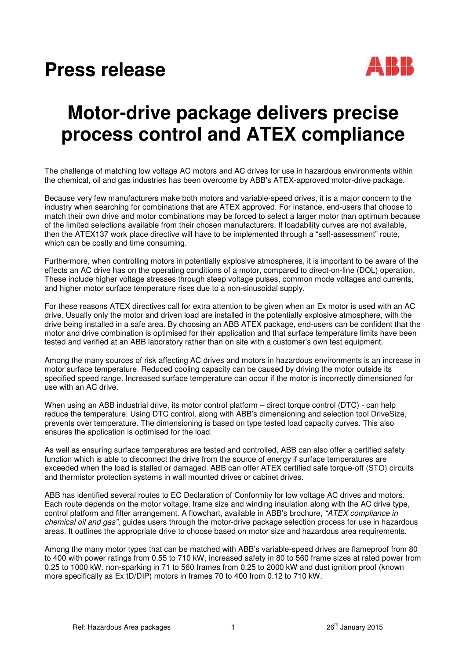## **Press release**



## **Motor-drive package delivers precise process control and ATEX compliance**

The challenge of matching low voltage AC motors and AC drives for use in hazardous environments within the chemical, oil and gas industries has been overcome by ABB's ATEX-approved motor-drive package.

Because very few manufacturers make both motors and variable-speed drives, it is a major concern to the industry when searching for combinations that are ATEX approved. For instance, end-users that choose to match their own drive and motor combinations may be forced to select a larger motor than optimum because of the limited selections available from their chosen manufacturers. If loadability curves are not available, then the ATEX137 work place directive will have to be implemented through a "self-assessment" route, which can be costly and time consuming.

Furthermore, when controlling motors in potentially explosive atmospheres, it is important to be aware of the effects an AC drive has on the operating conditions of a motor, compared to direct-on-line (DOL) operation. These include higher voltage stresses through steep voltage pulses, common mode voltages and currents, and higher motor surface temperature rises due to a non-sinusoidal supply.

For these reasons ATEX directives call for extra attention to be given when an Ex motor is used with an AC drive. Usually only the motor and driven load are installed in the potentially explosive atmosphere, with the drive being installed in a safe area. By choosing an ABB ATEX package, end-users can be confident that the motor and drive combination is optimised for their application and that surface temperature limits have been tested and verified at an ABB laboratory rather than on site with a customer's own test equipment.

Among the many sources of risk affecting AC drives and motors in hazardous environments is an increase in motor surface temperature. Reduced cooling capacity can be caused by driving the motor outside its specified speed range. Increased surface temperature can occur if the motor is incorrectly dimensioned for use with an AC drive.

When using an ABB industrial drive, its motor control platform – direct torque control (DTC) - can help reduce the temperature. Using DTC control, along with ABB's dimensioning and selection tool DriveSize, prevents over temperature. The dimensioning is based on type tested load capacity curves. This also ensures the application is optimised for the load.

As well as ensuring surface temperatures are tested and controlled, ABB can also offer a certified safety function which is able to disconnect the drive from the source of energy if surface temperatures are exceeded when the load is stalled or damaged. ABB can offer ATEX certified safe torque-off (STO) circuits and thermistor protection systems in wall mounted drives or cabinet drives.

ABB has identified several routes to EC Declaration of Conformity for low voltage AC drives and motors. Each route depends on the motor voltage, frame size and winding insulation along with the AC drive type, control platform and filter arrangement. A flowchart, available in ABB's brochure, "ATEX compliance in chemical oil and gas", quides users through the motor-drive package selection process for use in hazardous areas. It outlines the appropriate drive to choose based on motor size and hazardous area requirements.

Among the many motor types that can be matched with ABB's variable-speed drives are flameproof from 80 to 400 with power ratings from 0.55 to 710 kW, increased safety in 80 to 560 frame sizes at rated power from 0.25 to 1000 kW, non-sparking in 71 to 560 frames from 0.25 to 2000 kW and dust ignition proof (known more specifically as Ex tD/DIP) motors in frames 70 to 400 from 0.12 to 710 kW.